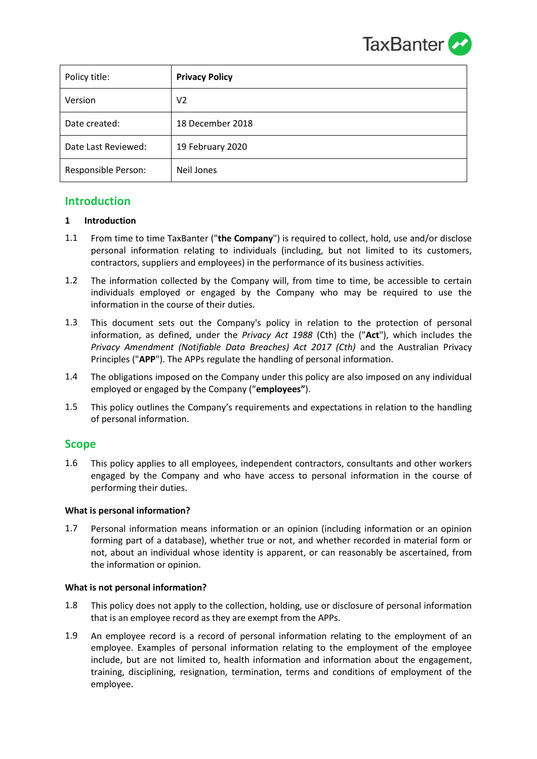

| Policy title:       | <b>Privacy Policy</b> |
|---------------------|-----------------------|
| Version             | V2                    |
| Date created:       | 18 December 2018      |
| Date Last Reviewed: | 19 February 2020      |
| Responsible Person: | Neil Jones            |

# **Introduction**

## **1 Introduction**

- 1.1 From time to time TaxBanter ("**the Company**") is required to collect, hold, use and/or disclose personal information relating to individuals (including, but not limited to its customers, contractors, suppliers and employees) in the performance of its business activities.
- 1.2 The information collected by the Company will, from time to time, be accessible to certain individuals employed or engaged by the Company who may be required to use the information in the course of their duties.
- 1.3 This document sets out the Company's policy in relation to the protection of personal information, as defined, under the *Privacy Act 1988* (Cth) the ("**Act**"), which includes the *Privacy Amendment (Notifiable Data Breaches) Act 2017 (Cth)* and the Australian Privacy Principles ("**APP**"). The APPs regulate the handling of personal information.
- 1.4 The obligations imposed on the Company under this policy are also imposed on any individual employed or engaged by the Company ("**employees"**).
- 1.5 This policy outlines the Company's requirements and expectations in relation to the handling of personal information.

## **Scope**

1.6 This policy applies to all employees, independent contractors, consultants and other workers engaged by the Company and who have access to personal information in the course of performing their duties.

## **What is personal information?**

1.7 Personal information means information or an opinion (including information or an opinion forming part of a database), whether true or not, and whether recorded in material form or not, about an individual whose identity is apparent, or can reasonably be ascertained, from the information or opinion.

## **What is not personal information?**

- 1.8 This policy does not apply to the collection, holding, use or disclosure of personal information that is an employee record as they are exempt from the APPs.
- 1.9 An employee record is a record of personal information relating to the employment of an employee. Examples of personal information relating to the employment of the employee include, but are not limited to, health information and information about the engagement, training, disciplining, resignation, termination, terms and conditions of employment of the employee.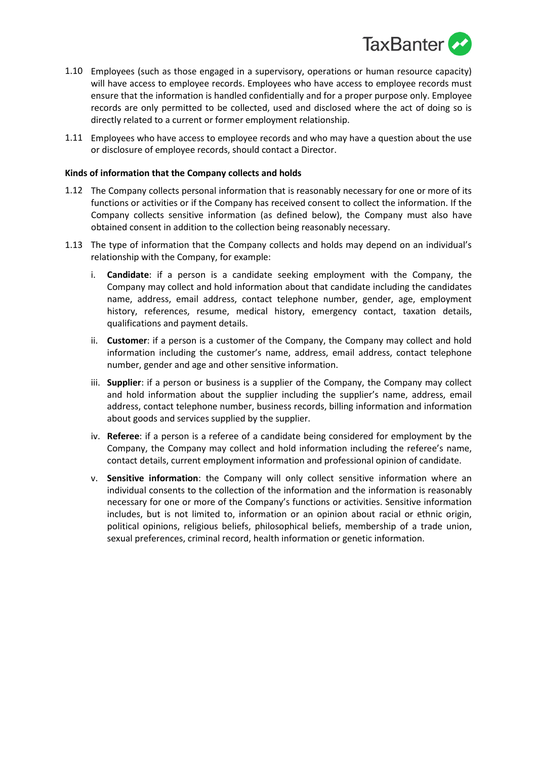

- 1.10 Employees (such as those engaged in a supervisory, operations or human resource capacity) will have access to employee records. Employees who have access to employee records must ensure that the information is handled confidentially and for a proper purpose only. Employee records are only permitted to be collected, used and disclosed where the act of doing so is directly related to a current or former employment relationship.
- 1.11 Employees who have access to employee records and who may have a question about the use or disclosure of employee records, should contact a Director.

#### **Kinds of information that the Company collects and holds**

- 1.12 The Company collects personal information that is reasonably necessary for one or more of its functions or activities or if the Company has received consent to collect the information. If the Company collects sensitive information (as defined below), the Company must also have obtained consent in addition to the collection being reasonably necessary.
- 1.13 The type of information that the Company collects and holds may depend on an individual's relationship with the Company, for example:
	- i. **Candidate**: if a person is a candidate seeking employment with the Company, the Company may collect and hold information about that candidate including the candidates name, address, email address, contact telephone number, gender, age, employment history, references, resume, medical history, emergency contact, taxation details, qualifications and payment details.
	- ii. **Customer**: if a person is a customer of the Company, the Company may collect and hold information including the customer's name, address, email address, contact telephone number, gender and age and other sensitive information.
	- iii. **Supplier**: if a person or business is a supplier of the Company, the Company may collect and hold information about the supplier including the supplier's name, address, email address, contact telephone number, business records, billing information and information about goods and services supplied by the supplier.
	- iv. **Referee**: if a person is a referee of a candidate being considered for employment by the Company, the Company may collect and hold information including the referee's name, contact details, current employment information and professional opinion of candidate.
	- v. **Sensitive information**: the Company will only collect sensitive information where an individual consents to the collection of the information and the information is reasonably necessary for one or more of the Company's functions or activities. Sensitive information includes, but is not limited to, information or an opinion about racial or ethnic origin, political opinions, religious beliefs, philosophical beliefs, membership of a trade union, sexual preferences, criminal record, health information or genetic information.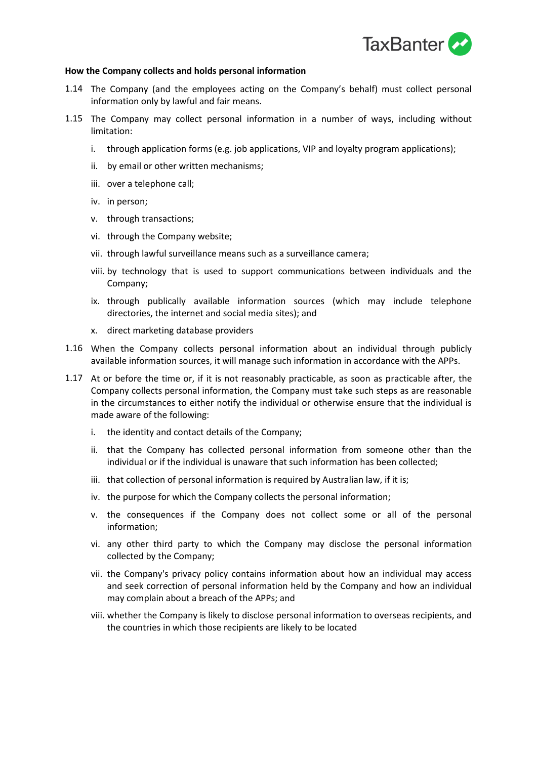

#### **How the Company collects and holds personal information**

- 1.14 The Company (and the employees acting on the Company's behalf) must collect personal information only by lawful and fair means.
- 1.15 The Company may collect personal information in a number of ways, including without limitation:
	- i. through application forms (e.g. job applications, VIP and loyalty program applications);
	- ii. by email or other written mechanisms;
	- iii. over a telephone call;
	- iv. in person;
	- v. through transactions;
	- vi. through the Company website;
	- vii. through lawful surveillance means such as a surveillance camera;
	- viii. by technology that is used to support communications between individuals and the Company;
	- ix. through publically available information sources (which may include telephone directories, the internet and social media sites); and
	- x. direct marketing database providers
- 1.16 When the Company collects personal information about an individual through publicly available information sources, it will manage such information in accordance with the APPs.
- 1.17 At or before the time or, if it is not reasonably practicable, as soon as practicable after, the Company collects personal information, the Company must take such steps as are reasonable in the circumstances to either notify the individual or otherwise ensure that the individual is made aware of the following:
	- i. the identity and contact details of the Company;
	- ii. that the Company has collected personal information from someone other than the individual or if the individual is unaware that such information has been collected;
	- iii. that collection of personal information is required by Australian law, if it is;
	- iv. the purpose for which the Company collects the personal information;
	- v. the consequences if the Company does not collect some or all of the personal information;
	- vi. any other third party to which the Company may disclose the personal information collected by the Company;
	- vii. the Company's privacy policy contains information about how an individual may access and seek correction of personal information held by the Company and how an individual may complain about a breach of the APPs; and
	- viii. whether the Company is likely to disclose personal information to overseas recipients, and the countries in which those recipients are likely to be located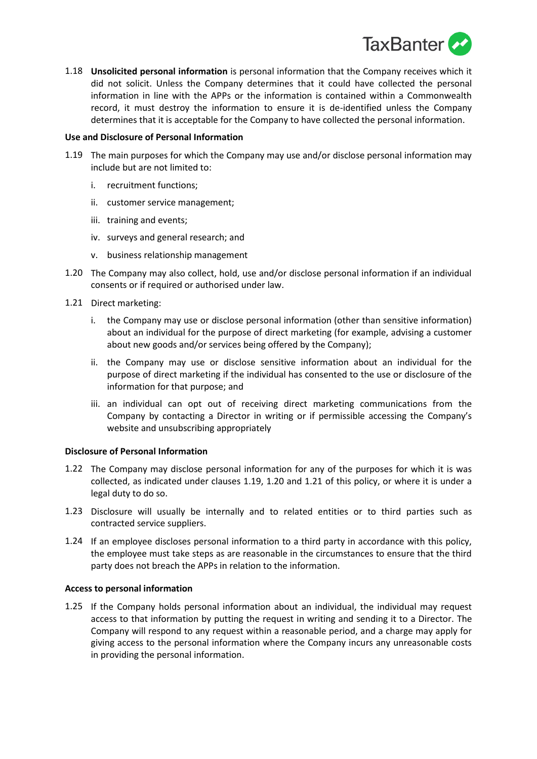

1.18 **Unsolicited personal information** is personal information that the Company receives which it did not solicit. Unless the Company determines that it could have collected the personal information in line with the APPs or the information is contained within a Commonwealth record, it must destroy the information to ensure it is de-identified unless the Company determines that it is acceptable for the Company to have collected the personal information.

#### **Use and Disclosure of Personal Information**

- 1.19 The main purposes for which the Company may use and/or disclose personal information may include but are not limited to:
	- i. recruitment functions;
	- ii. customer service management;
	- iii. training and events;
	- iv. surveys and general research; and
	- v. business relationship management
- 1.20 The Company may also collect, hold, use and/or disclose personal information if an individual consents or if required or authorised under law.
- 1.21 Direct marketing:
	- i. the Company may use or disclose personal information (other than sensitive information) about an individual for the purpose of direct marketing (for example, advising a customer about new goods and/or services being offered by the Company);
	- ii. the Company may use or disclose sensitive information about an individual for the purpose of direct marketing if the individual has consented to the use or disclosure of the information for that purpose; and
	- iii. an individual can opt out of receiving direct marketing communications from the Company by contacting a Director in writing or if permissible accessing the Company's website and unsubscribing appropriately

#### **Disclosure of Personal Information**

- 1.22 The Company may disclose personal information for any of the purposes for which it is was collected, as indicated under clauses 1.19, 1.20 and 1.21 of this policy, or where it is under a legal duty to do so.
- 1.23 Disclosure will usually be internally and to related entities or to third parties such as contracted service suppliers.
- 1.24 If an employee discloses personal information to a third party in accordance with this policy, the employee must take steps as are reasonable in the circumstances to ensure that the third party does not breach the APPs in relation to the information.

#### **Access to personal information**

1.25 If the Company holds personal information about an individual, the individual may request access to that information by putting the request in writing and sending it to a Director. The Company will respond to any request within a reasonable period, and a charge may apply for giving access to the personal information where the Company incurs any unreasonable costs in providing the personal information.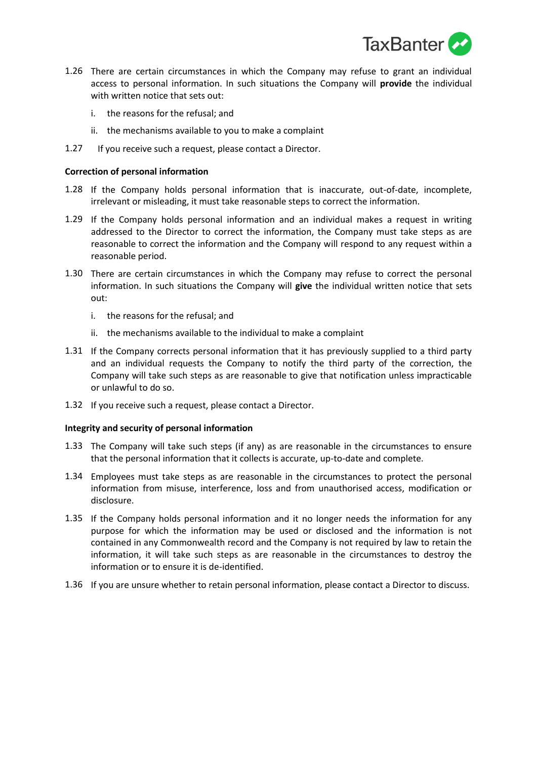

- 1.26 There are certain circumstances in which the Company may refuse to grant an individual access to personal information. In such situations the Company will **provide** the individual with written notice that sets out:
	- i. the reasons for the refusal; and
	- ii. the mechanisms available to you to make a complaint
- 1.27 If you receive such a request, please contact a Director.

#### **Correction of personal information**

- 1.28 If the Company holds personal information that is inaccurate, out-of-date, incomplete, irrelevant or misleading, it must take reasonable steps to correct the information.
- 1.29 If the Company holds personal information and an individual makes a request in writing addressed to the Director to correct the information, the Company must take steps as are reasonable to correct the information and the Company will respond to any request within a reasonable period.
- 1.30 There are certain circumstances in which the Company may refuse to correct the personal information. In such situations the Company will **give** the individual written notice that sets out:
	- i. the reasons for the refusal; and
	- ii. the mechanisms available to the individual to make a complaint
- 1.31 If the Company corrects personal information that it has previously supplied to a third party and an individual requests the Company to notify the third party of the correction, the Company will take such steps as are reasonable to give that notification unless impracticable or unlawful to do so.
- 1.32 If you receive such a request, please contact a Director.

#### **Integrity and security of personal information**

- 1.33 The Company will take such steps (if any) as are reasonable in the circumstances to ensure that the personal information that it collects is accurate, up-to-date and complete.
- 1.34 Employees must take steps as are reasonable in the circumstances to protect the personal information from misuse, interference, loss and from unauthorised access, modification or disclosure.
- 1.35 If the Company holds personal information and it no longer needs the information for any purpose for which the information may be used or disclosed and the information is not contained in any Commonwealth record and the Company is not required by law to retain the information, it will take such steps as are reasonable in the circumstances to destroy the information or to ensure it is de-identified.
- 1.36 If you are unsure whether to retain personal information, please contact a Director to discuss.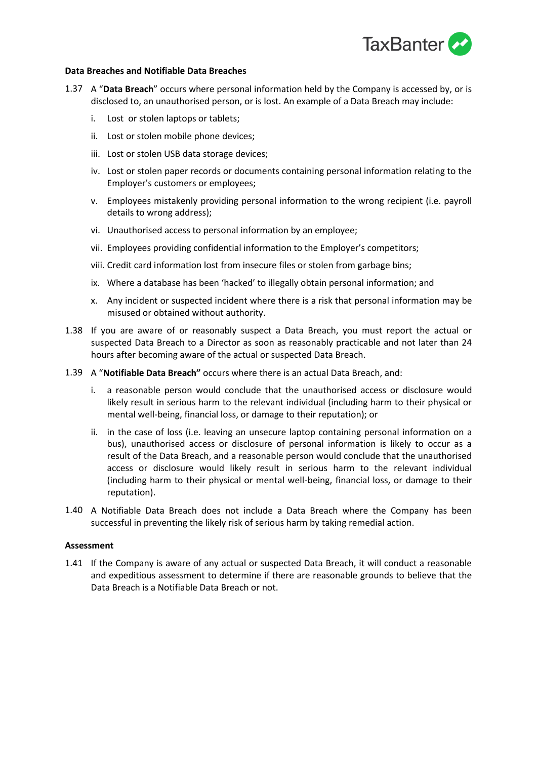

#### **Data Breaches and Notifiable Data Breaches**

- 1.37 A "**Data Breach**" occurs where personal information held by the Company is accessed by, or is disclosed to, an unauthorised person, or is lost. An example of a Data Breach may include:
	- i. Lost or stolen laptops or tablets;
	- ii. Lost or stolen mobile phone devices;
	- iii. Lost or stolen USB data storage devices;
	- iv. Lost or stolen paper records or documents containing personal information relating to the Employer's customers or employees;
	- v. Employees mistakenly providing personal information to the wrong recipient (i.e. payroll details to wrong address);
	- vi. Unauthorised access to personal information by an employee;
	- vii. Employees providing confidential information to the Employer's competitors;
	- viii. Credit card information lost from insecure files or stolen from garbage bins;
	- ix. Where a database has been 'hacked' to illegally obtain personal information; and
	- x. Any incident or suspected incident where there is a risk that personal information may be misused or obtained without authority.
- 1.38 If you are aware of or reasonably suspect a Data Breach, you must report the actual or suspected Data Breach to a Director as soon as reasonably practicable and not later than 24 hours after becoming aware of the actual or suspected Data Breach.
- 1.39 A "**Notifiable Data Breach"** occurs where there is an actual Data Breach, and:
	- i. a reasonable person would conclude that the unauthorised access or disclosure would likely result in serious harm to the relevant individual (including harm to their physical or mental well-being, financial loss, or damage to their reputation); or
	- ii. in the case of loss (i.e. leaving an unsecure laptop containing personal information on a bus), unauthorised access or disclosure of personal information is likely to occur as a result of the Data Breach, and a reasonable person would conclude that the unauthorised access or disclosure would likely result in serious harm to the relevant individual (including harm to their physical or mental well-being, financial loss, or damage to their reputation).
- 1.40 A Notifiable Data Breach does not include a Data Breach where the Company has been successful in preventing the likely risk of serious harm by taking remedial action.

#### **Assessment**

1.41 If the Company is aware of any actual or suspected Data Breach, it will conduct a reasonable and expeditious assessment to determine if there are reasonable grounds to believe that the Data Breach is a Notifiable Data Breach or not.